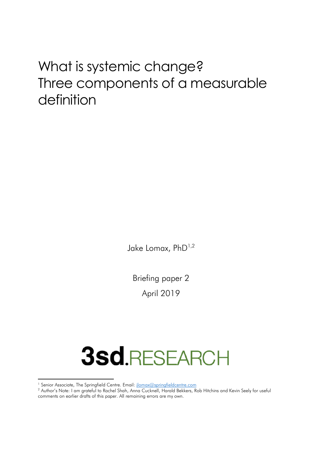## What is systemic change? Three components of a measurable definition

Jake Lomax, PhD<sup>1,2</sup>

Briefing paper 2 April 2019

# **3sd.RESEARCH**

 $\overline{\phantom{a}}$ 

<sup>&</sup>lt;sup>1</sup> Senior Associate, The Springfield Centre. Email: *ilomax@springfieldcentre.com* 

<sup>2</sup> Author's Note: I am grateful to Rachel Shah, Anna Cucknell, Harald Bekkers, Rob Hitchins and Kevin Seely for useful comments on earlier drafts of this paper. All remaining errors are my own.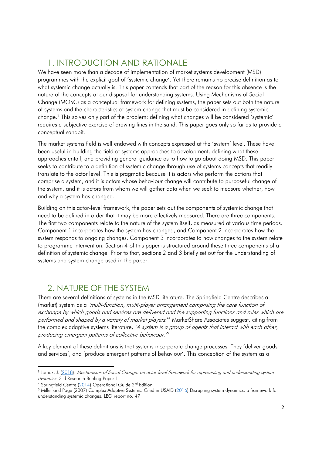## 1. INTRODUCTION AND RATIONALE

We have seen more than a decade of implementation of market systems development (MSD) programmes with the explicit goal of 'systemic change'. Yet there remains no precise definition as to what systemic change actually is. This paper contends that part of the reason for this absence is the nature of the concepts at our disposal for understanding systems. Using Mechanisms of Social Change (MOSC) as a conceptual framework for defining systems, the paper sets out both the nature of systems and the characteristics of system change that must be considered in defining systemic change.<sup>3</sup> This solves only part of the problem: defining what changes will be considered 'systemic' requires a subjective exercise of drawing lines in the sand. This paper goes only so far as to provide a conceptual sandpit.

The market systems field is well endowed with concepts expressed at the 'system' level. These have been useful in building the field of systems approaches to development, defining what these approaches entail, and providing general guidance as to how to go about doing MSD. This paper seeks to contribute to a definition of systemic change through use of systems concepts that readily translate to the actor level. This is pragmatic because it is actors who perform the actions that comprise a system, and it is actors whose behaviour change will contribute to purposeful change of the system, and it is actors from whom we will gather data when we seek to measure whether, how and why a system has changed.

Building on this actor-level framework, the paper sets out the components of systemic change that need to be defined in order that it may be more effectively measured. There are three components. The first two components relate to the nature of the system itself, as measured at various time periods. Component 1 incorporates how the system has changed, and Component 2 incorporates how the system responds to ongoing changes. Component 3 incorporates to how changes to the system relate to programme intervention. Section 4 of this paper is structured around these three components of a definition of systemic change. Prior to that, sections 2 and 3 briefly set out for the understanding of systems and system change used in the paper.

### 2. NATURE OF THE SYSTEM

There are several definitions of systems in the MSD literature. The Springfield Centre describes a (market) system as a 'multi-function, multi-player arrangement comprising the core function of exchange by which goods and services are delivered and the supporting functions and rules which are performed and shaped by a variety of market players.<sup>14</sup> MarketShare Associates suggest, citing from the complex adaptive systems literature, 'A system is a group of agents that interact with each other, producing emergent patterns of collective behaviour.  $^{\circ}$ 

A key element of these definitions is that systems incorporate change processes. They 'deliver goods and services', and 'produce emergent patterns of behaviour'. This conception of the system as a

-

<sup>3</sup> Lomax, J. (2018). Mechanisms of Social Change: an actor-level framework for representing and understanding system dynamics. 3sd Research Briefing Paper 1.

<sup>&</sup>lt;sup>4</sup> Springfield Centre (2014) Operational Guide 2<sup>nd</sup> Edition.

<sup>&</sup>lt;sup>5</sup> Miller and Page (2007) Complex Adaptive Systems. Cited in USAID (<u>2016</u>) Disrupting system dynamics: a framework for understanding systemic changes. LEO report no. 47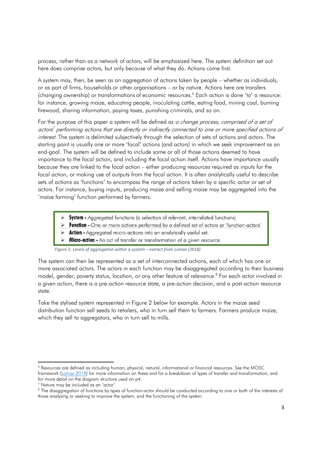process, rather than as a network of actors, will be emphasized here. The system definition set out here does comprise actors, but only because of what they do. Actions come first.

A system may, then, be seen as an aggregation of actions taken by people – whether as individuals, or as part of firms, households or other organisations – or by nature. Actions here are transfers (changing ownership) or transformations of economic resources.<sup>6</sup> Each action is done 'to' a resource: for instance, growing maize, educating people, inoculating cattle, eating food, mining coal, burning firewood, sharing information, paying taxes, punishing criminals, and so on.

For the purpose of this paper a system will be defined as a change process, comprised of a set of actors<sup>7</sup> performing actions that are directly or indirectly connected to one or more specified actions of interest. The system is delimited subjectively through the selection of sets of actions and actors. The starting point is usually one or more 'focal' actions (and actors) in which we seek improvement as an end-goal. The system will be defined to include some or all of those actions deemed to have importance to the focal action, and including the focal action itself. Actions have importance usually because they are linked to the focal action – either producing resources required as inputs for the focal action, or making use of outputs from the focal action. It is often analytically useful to describe sets of actions as 'functions' to encompass the range of actions taken by a specific actor or set of actors. For instance, buying inputs, producing maize and selling maize may be aggregated into the 'maize farming' function performed by farmers.

- **System -** Agaregated functions (a selection of relevant, interrelated functions)
- Function One or more actions performed by a defined set of actors or 'function-actors'
- > Action Aggregated micro-actions into an analytically useful set.
- > Micro-action An act of transfer or transformation of a given resource.

*Figure 1: Levels of aggregation within a system – extract from Lomax (2018)* 

The system can then be represented as a set of interconnected actions, each of which has one or more associated actors. The actors in each function may be disaggregated according to their business model, gender, poverty status, location, or any other feature of relevance.<sup>8</sup> For each actor involved in a given action, there is a pre-action resource state, a pre-action decision, and a post-action resource state.

Take the stylised system represented in Figure 2 below for example. Actors in the maize seed distribution function sell seeds to retailers, who in turn sell them to farmers. Farmers produce maize, which they sell to aggregators, who in turn sell to mills.

 $\overline{\phantom{a}}$ 

<sup>6</sup> Resources are defined as including human, physical, natural, informational or financial resources. See the MOSC framework (Lomax 2018) for more information on these and for a breakdown of types of transfer and transformation, and for more detail on the diagram structure used on p4.

<sup>7</sup> Nature may be included as an 'actor'

<sup>&</sup>lt;sup>8</sup> The disaggregation of functions by types of function-actor should be conducted according to one or both of the interests of those analysing or seeking to improve the system, and the functioning of the system.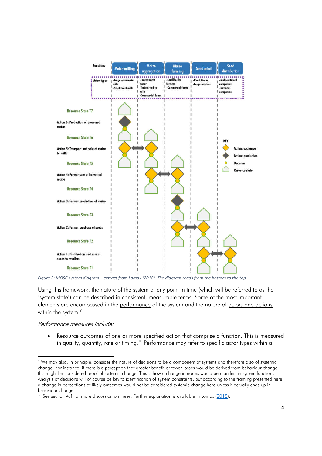

*Figure 2: MOSC system diagram – extract from Lomax (2018). The diagram reads from the bottom to the top.* 

Using this framework, the nature of the system at any point in time (which will be referred to as the 'system state') can be described in consistent, measurable terms. Some of the most important elements are encompassed in the performance of the system and the nature of actors and actions within the system.<sup>9</sup>

Performance measures include:

-

 Resource outcomes of one or more specified action that comprise a function. This is measured in quality, quantity, rate or timing.<sup>10</sup> Performance may refer to specific actor types within a

<sup>9</sup> We may also, in principle, consider the nature of decisions to be a component of systems and therefore also of systemic change. For instance, if there is a perception that greater benefit or fewer losses would be derived from behaviour change, this might be considered proof of systemic change. This is how a change in norms would be manifest in system functions. Analysis of decisions will of course be key to identification of system constraints, but according to the framing presented here a change in perceptions of likely outcomes would not be considered systemic change here unless it actually ends up in behaviour change.

<sup>&</sup>lt;sup>10</sup> See section 4.1 for more discussion on these. Further explanation is available in Lomax (2018).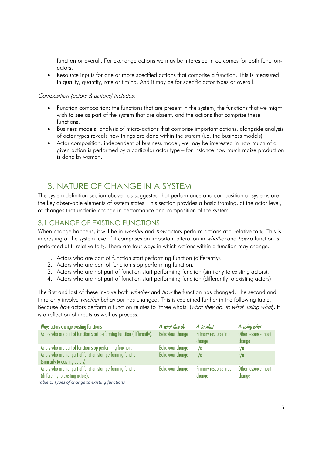function or overall. For exchange actions we may be interested in outcomes for both functionactors.

 Resource inputs for one or more specified actions that comprise a function. This is measured in quality, quantity, rate or timing. And it may be for specific actor types or overall.

#### Composition (actors & actions) includes:

- Function composition: the functions that are present in the system, the functions that we might wish to see as part of the system that are absent, and the actions that comprise these functions.
- Business models: analysis of micro-actions that comprise important actions, alongside analysis of actor types reveals how things are done within the system (i.e. the business models)
- Actor composition: independent of business model, we may be interested in how much of a given action is performed by a particular actor type – for instance how much maize production is done by women.

## 3. NATURE OF CHANGE IN A SYSTEM

The system definition section above has suggested that performance and composition of systems are the key observable elements of system states. This section provides a basic framing, at the actor level, of changes that underlie change in performance and composition of the system.

#### 3.1 CHANGE OF EXISTING FUNCTIONS

When change happens, it will be in whether and how actors perform actions at  $t_1$  relative to  $t_0$ . This is interesting at the system level if it comprises an important alteration in whether and how a function is performed at  $t_1$  relative to to. There are four ways in which actions within a function may change.

- 1. Actors who are part of function start performing function (differently).
- 2. Actors who are part of function stop performing function.
- 3. Actors who are not part of function start performing function (similarly to existing actors).
- 4. Actors who are not part of function start performing function (differently to existing actors).

The first and last of these involve both *whether* and *how* the function has changed. The second and third only involve *whether* behaviour has changed. This is explained further in the following table. Because how actors perform a function relates to 'three whats' (what they do, to what, using what, it is a reflection of inputs as well as process.

| Ways actors change existing functions                                                            | $\Delta$ what they do   | $\Delta$ to what                 | $\Delta$ using what            |
|--------------------------------------------------------------------------------------------------|-------------------------|----------------------------------|--------------------------------|
| Actors who are part of function start performing function (differently).                         | Behaviour change        | Primary resource input<br>change | Other resource input<br>change |
| Actors who are part of function stop performing function.                                        | <b>Behaviour change</b> | n/a                              | n/a                            |
| Actors who are not part of function start performing function<br>(similarly to existing actors). | Behaviour change        | n/a                              | n/a                            |
| Actors who are not part of function start performing function                                    | Behaviour change        | Primary resource input           | Other resource input           |
| (differently to existing actors).                                                                |                         | change                           | change                         |

*Table 1: Types of change to existing functions*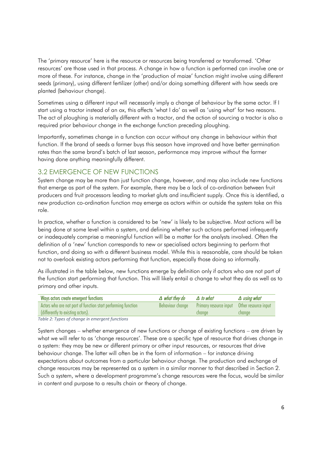The 'primary resource' here is the resource or resources being transferred or transformed. 'Other resources' are those used in that process. A change in how a function is performed can involve one or more of these. For instance, change in the 'production of maize' function might involve using different seeds (primary), using different fertilizer (other) and/or doing something different with how seeds are planted (behaviour change).

Sometimes using a different input will necessarily imply a change of behaviour by the same actor. If I start using a tractor instead of an ox, this affects 'what I do' as well as 'using what' for two reasons. The act of ploughing is materially different with a tractor, and the action of sourcing a tractor is also a required prior behaviour change in the exchange function preceding ploughing.

Importantly, sometimes change in a function can occur without any change in behaviour within that function. If the brand of seeds a farmer buys this season have improved and have better germination rates than the same brand's batch of last season, performance may improve without the farmer having done anything meaningfully different.

#### 3.2 EMERGENCE OF NEW FUNCTIONS

System change may be more than just function change, however, and may also include new functions that emerge as part of the system. For example, there may be a lack of co-ordination between fruit producers and fruit processors leading to market gluts and insufficient supply. Once this is identified, a new production co-ordination function may emerge as actors within or outside the system take on this role.

In practice, whether a function is considered to be 'new' is likely to be subjective. Most actions will be being done at some level within a system, and defining whether such actions performed infrequently or inadequately comprise a meaningful function will be a matter for the analysts involved. Often the definition of a 'new' function corresponds to new or specialised actors beginning to perform that function, and doing so with a different business model. While this is reasonable, care should be taken not to overlook existing actors performing that function, especially those doing so informally.

As illustrated in the table below, new functions emerge by definition only if actors who are not part of the function start performing that function. This will likely entail a change to what they do as well as to primary and other inputs.

| $\Delta$ what they do | $\Delta$ to what | $\Delta$ using what                         |
|-----------------------|------------------|---------------------------------------------|
| Behaviour chanae      |                  |                                             |
|                       | change           | chanae                                      |
|                       |                  | Primary resource input Other resource input |

*Table 2: Types of change in emergent functions*

System changes – whether emergence of new functions or change of existing functions – are driven by what we will refer to as 'change resources'. These are a specific type of resource that drives change in a system: they may be new or different primary or other input resources, or resources that drive behaviour change. The latter will often be in the form of information – for instance driving expectations about outcomes from a particular behaviour change. The production and exchange of change resources may be represented as a system in a similar manner to that described in Section 2. Such a system, where a development programme's change resources were the focus, would be similar in content and purpose to a results chain or theory of change.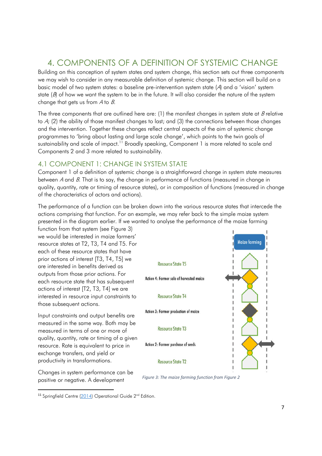## 4. COMPONENTS OF A DEFINITION OF SYSTEMIC CHANGE

Building on this conception of system states and system change, this section sets out three components we may wish to consider in any measurable definition of systemic change. This section will build on a basic model of two system states: a baseline pre-intervention system state (A) and a 'vision' system state  $(\beta)$  of how we want the system to be in the future. It will also consider the nature of the system change that gets us from  $A$  to  $B$ .

The three components that are outlined here are: (1) the manifest changes in system state at  $B$  relative to A; (2) the ability of those manifest changes to last; and (3) the connections between those changes and the intervention. Together these changes reflect central aspects of the aim of systemic change programmes to 'bring about lasting and large scale change', which points to the twin goals of sustainability and scale of impact.<sup>11</sup> Broadly speaking, Component 1 is more related to scale and Components 2 and 3 more related to sustainability.

#### 4.1 COMPONENT 1: CHANGE IN SYSTEM STATE

Component 1 of a definition of systemic change is a straightforward change in system state measures between  $A$  and  $B$ . That is to say, the change in performance of functions (measured in change in quality, quantity, rate or timing of resource states), or in composition of functions (measured in change of the characteristics of actors and actions).

The performance of a function can be broken down into the various resource states that intercede the actions comprising that function. For an example, we may refer back to the simple maize system presented in the diagram earlier. If we wanted to analyse the performance of the maize farming

function from that system (see Figure 3) we would be interested in maize farmers' resource states at T2, T3, T4 and T5. For each of these resource states that have prior actions of interest [T3, T4, T5] we are interested in benefits derived as outputs from those prior actions. For each resource state that has subsequent actions of interest [T2, T3, T4] we are interested in resource input constraints to those subsequent actions.

Input constraints and output benefits are measured in the same way. Both may be measured in terms of one or more of quality, quantity, rate or timing of a given resource. Rate is equivalent to price in exchange transfers, and yield or productivity in transformations.

Changes in system performance can be positive or negative. A development

 $\overline{a}$ 



*Figure 3: The maize farming function from Figure 2* 

<sup>&</sup>lt;sup>11</sup> Springfield Centre (2014) Operational Guide 2<sup>nd</sup> Edition.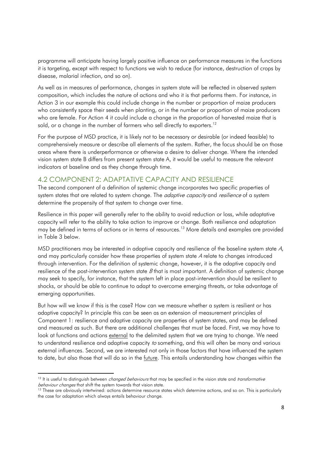programme will anticipate having largely positive influence on performance measures in the functions it is targeting, except with respect to functions we wish to reduce (for instance, destruction of crops by disease, malarial infection, and so on).

As well as in measures of performance, changes in system state will be reflected in observed system composition, which includes the nature of actions and who it is that performs them. For instance, in Action 3 in our example this could include change in the number or proportion of maize producers who consistently space their seeds when planting, or in the number or proportion of maize producers who are female. For Action 4 it could include a change in the proportion of harvested maize that is sold, or a change in the number of farmers who sell directly to exporters.<sup>12</sup>

For the purpose of MSD practice, it is likely not to be necessary or desirable (or indeed feasible) to comprehensively measure or describe all elements of the system. Rather, the focus should be on those areas where there is underperformance or otherwise a desire to deliver change. Where the intended vision system state B differs from present system state A, it would be useful to measure the relevant indicators at baseline and as they change through time.

#### 4.2 COMPONENT 2: ADAPTATIVE CAPACITY AND RESILIENCE

The second component of a definition of systemic change incorporates two specific properties of system states that are related to system change. The *adaptive capacity* and *resilience* of a system determine the propensity of that system to change over time.

Resilience in this paper will generally refer to the ability to avoid reduction or loss, while adaptative capacity will refer to the ability to take action to improve or change. Both resilience and adaptation may be defined in terms of actions or in terms of resources.<sup>13</sup> More details and examples are provided in Table 3 below.

MSD practitioners may be interested in adaptive capacity and resilience of the baseline system state A, and may particularly consider how these properties of system state A relate to changes introduced through intervention. For the definition of systemic change, however, it is the adaptive capacity and resilience of the post-intervention system state  $B$  that is most important. A definition of systemic change may seek to specify, for instance, that the system left in place post-intervention should be resilient to shocks, or should be able to continue to adapt to overcome emerging threats, or take advantage of emerging opportunities.

But how will we know if this is the case? How can we measure whether a system is resilient or has adaptive capacity? In principle this can be seen as an extension of measurement principles of Component 1: resilience and adaptive capacity are properties of system states, and may be defined and measured as such. But there are additional challenges that must be faced. First, we may have to look at functions and actions external to the delimited system that we are trying to change. We need to understand resilience and adaptive capacity to something, and this will often be many and various external influences. Second, we are interested not only in those factors that have influenced the system to date, but also those that will do so in the future. This entails understanding how changes within the

-

<sup>&</sup>lt;sup>12</sup> It is useful to distinguish between *changed behaviours* that may be specified in the vision state and *transformative* behaviour changes that shift the system towards that vision state.

<sup>&</sup>lt;sup>13</sup> These are obviously intertwined: actions determine resource states which determine actions, and so on. This is particularly the case for adaptation which always entails behaviour change.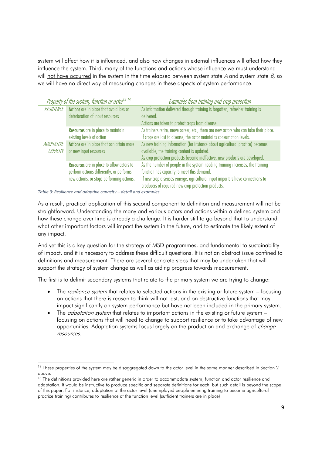system will affect how it is influenced, and also how changes in external influences will affect how they influence the system. Third, many of the functions and actions whose influence we must understand will not have occurred in the system in the time elapsed between system state  $A$  and system state  $B$ , so we will have no direct way of measuring changes in these aspects of system performance.

|                        | Property of the system, function or actor <sup>14 15</sup>                                                                                | Examples from training and crop protection                                                                                                                                                                                                                           |
|------------------------|-------------------------------------------------------------------------------------------------------------------------------------------|----------------------------------------------------------------------------------------------------------------------------------------------------------------------------------------------------------------------------------------------------------------------|
| <b>RESILIENCE</b>      | <b>Actions</b> are in place that avoid loss or<br>deterioration of input resources                                                        | As information delivered through training is forgotten, refresher training is<br>delivered.<br>Actions are taken to protect crops from disease                                                                                                                       |
|                        | Resources are in place to maintain<br>existing levels of action                                                                           | As trainers retire, move career, etc., there are new actors who can take their place.<br>If crops are lost to disease, the actor maintains consumption levels.                                                                                                       |
| ADAPTATIVE<br>CAPACITY | Actions are in place that can attain more<br>or new input resources                                                                       | As new training information (for instance about agricultural practice) becomes<br>available, the training content is updated.<br>As crop protection products become ineffective, new products are developed.                                                         |
|                        | <b>Resources</b> are in place to allow actors to<br>perform actions differently, or performs<br>new actions, or stops performing actions. | As the number of people in the system needing training increases, the training<br>function has capacity to meet this demand.<br>If new crop diseases emerge, agricultural input importers have connections to<br>producers of required new crop protection products. |

*Table 3: Resilience and adaptive capacity – detail and examples* 

-

As a result, practical application of this second component to definition and measurement will not be straightforward. Understanding the many and various actors and actions within a defined system and how these change over time is already a challenge. It is harder still to go beyond that to understand what other important factors will impact the system in the future, and to estimate the likely extent of any impact.

And yet this is a key question for the strategy of MSD programmes, and fundamental to sustainability of impact, and it is necessary to address these difficult questions. It is not an abstract issue confined to definitions and measurement. There are several concrete steps that may be undertaken that will support the strategy of system change as well as aiding progress towards measurement.

The first is to delimit secondary systems that relate to the primary system we are trying to change:

- The *resilience system* that relates to selected actions in the existing or future system focusing on actions that there is reason to think will not last, and on destructive functions that may impact significantly on system performance but have not been included in the primary system.
- The *adaptation system* that relates to important actions in the existing or future system  $$ focusing on actions that will need to change to support resilience or to take advantage of new opportunities. Adaptation systems focus largely on the production and exchange of *change* resources.

<sup>&</sup>lt;sup>14</sup> These properties of the system may be disaggregated down to the actor level in the same manner described in Section 2 above.

<sup>&</sup>lt;sup>15</sup> The definitions provided here are rather generic in order to accommodate system, function and actor resilience and adaptation. It would be instructive to produce specific and separate definitions for each, but such detail is beyond the scope of this paper. For instance, adaptation at the actor level (unemployed people entering training to become agricultural practice training) contributes to resilience at the function level (sufficient trainers are in place)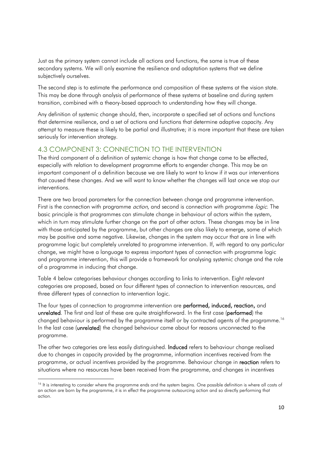Just as the primary system cannot include all actions and functions, the same is true of these secondary systems. We will only examine the resilience and adaptation systems that we define subjectively ourselves.

The second step is to estimate the performance and composition of these systems at the vision state. This may be done through analysis of performance of these systems at baseline and during system transition, combined with a theory-based approach to understanding how they will change.

Any definition of systemic change should, then, incorporate a specified set of actions and functions that determine resilience, and a set of actions and functions that determine adaptive capacity. Any attempt to measure these is likely to be partial and illustrative; it is more important that these are taken seriously for intervention strategy.

#### 4.3 COMPONENT 3: CONNECTION TO THE INTERVENTION

The third component of a definition of systemic change is how that change came to be effected, especially with relation to development programme efforts to engender change. This may be an important component of a definition because we are likely to want to know if it was our interventions that caused these changes. And we will want to know whether the changes will last once we stop our interventions.

There are two broad parameters for the connection between change and programme intervention. First is the connection with programme *action*, and second is connection with programme *logic*. The basic principle is that programmes can stimulate change in behaviour of actors within the system, which in turn may stimulate further change on the part of other actors. These changes may be in line with those anticipated by the programme, but other changes are also likely to emerge, some of which may be positive and some negative. Likewise, changes in the system may occur that are in line with programme logic but completely unrelated to programme intervention. If, with regard to any particular change, we might have a language to express important types of connection with programme logic and programme intervention, this will provide a framework for analysing systemic change and the role of a programme in inducing that change.

Table 4 below categorises behaviour changes according to links to intervention. Eight relevant categories are proposed, based on four different types of connection to intervention resources, and three different types of connection to intervention logic.

The four types of connection to programme intervention are **performed, induced, reaction,** and unrelated. The first and last of these are quite straightforward. In the first case (performed) the changed behaviour is performed by the programme itself or by contracted agents of the programme.<sup>16</sup> In the last case (unrelated) the changed behaviour came about for reasons unconnected to the programme.

The other two categories are less easily distinguished. **Induced** refers to behaviour change realised due to changes in capacity provided by the programme, information incentives received from the programme, or actual incentives provided by the programme. Behaviour change in reaction refers to situations where no resources have been received from the programme, and changes in incentives

-

<sup>&</sup>lt;sup>16</sup> It is interesting to consider where the programme ends and the system begins. One possible definition is where all costs of an action are born by the programme, it is in effect the programme outsourcing action and so directly performing that action.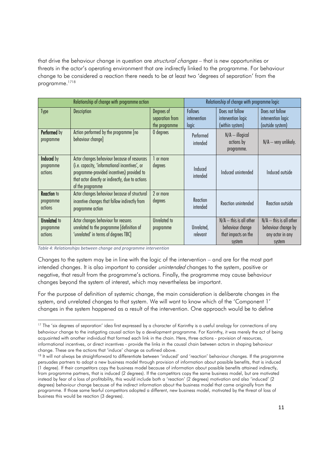that drive the behaviour change in question are *structural changes* – that is new opportunities or threats in the actor's operating environment that are indirectly linked to the programme. For behaviour change to be considered a reaction there needs to be at least two 'degrees of separation' from the programme.<sup>1718</sup>

| Relationship of change with programme action |                                                                                                                                                                                                                       | Relationship of change with programme logic    |                                         |                                                                                |                                                                                |
|----------------------------------------------|-----------------------------------------------------------------------------------------------------------------------------------------------------------------------------------------------------------------------|------------------------------------------------|-----------------------------------------|--------------------------------------------------------------------------------|--------------------------------------------------------------------------------|
| <b>Type</b>                                  | Description                                                                                                                                                                                                           | Degrees of<br>separation from<br>the programme | <b>Follows</b><br>intervention<br>logic | Does not follow<br>intervention logic<br>(within system)                       | Does not follow<br>intervention logic<br>(outside system)                      |
| Performed by<br>programme                    | Action performed by the programme [no<br>behaviour change]                                                                                                                                                            | O degrees                                      | Performed<br>intended                   | $N/A$ - illogical<br>actions by<br>programme.                                  | $N/A - \text{very unlikely.}$                                                  |
| Induced by<br>programme<br>actions           | Actor changes behaviour because of resources<br>(i.e. capacity, 'informational incentives', or<br>programme-provided incentives) provided to<br>that actor directly or indirectly, due to actions<br>of the programme | l or more<br>degrees                           | Induced<br>intended                     | Induced unintended                                                             | Induced outside                                                                |
| <b>Reaction to</b><br>programme<br>actions   | Actor changes behaviour because of structural<br>incentive changes that follow indirectly from<br>programme action                                                                                                    | 2 or more<br>degrees                           | Reaction<br>intended                    | Reaction unintended                                                            | Reaction outside                                                               |
| <b>Unrelated</b> to<br>programme<br>actions  | Actor changes behaviour for reasons<br>unrelated to the programme [definition of<br>'unrelated' in terms of degrees TBC]                                                                                              | <b>Unrelated to</b><br>programme               | Unrelated,<br>relevant                  | $N/A -$ this is all other<br>behaviour change<br>that impacts on the<br>system | $N/A$ - this is all other<br>behaviour change by<br>any actor in any<br>system |

*Table 4: Relationships between change and programme intervention* 

-

Changes to the system may be in line with the logic of the intervention – and are for the most part intended changes. It is also important to consider *unintended* changes to the system, positive or negative, that result from the programme's actions. Finally, the programme may cause behaviour changes beyond the system of interest, which may nevertheless be important.

For the purpose of definition of systemic change, the main consideration is deliberate changes in the system, and unrelated changes to that system. We will want to know which of the 'Component 1' changes in the system happened as a result of the intervention. One approach would be to define

<sup>&</sup>lt;sup>17</sup> The 'six degrees of separation' idea first expressed by a character of Karinthy is a useful analogy for connections of any behaviour change to the instigating causal action by a development programme. For Karinthy, it was merely the act of being acquainted with another individual that formed each link in the chain. Here, three actions - provision of resources, informational incentives, or direct incentives - provide the links in the causal chain between actors in shaping behaviour change. These are the actions that 'induce' change as outlined above.

<sup>&</sup>lt;sup>18</sup> It will not always be straightforward to differentiate between 'induced' and 'reaction' behaviour changes. If the programme persuades partners to adopt a new business model through provision of information about possible benefits, that is induced (1 degree). If their competitors copy the business model because of information about possible benefits attained indirectly, from programme partners, that is induced (2 degrees). If the competitors copy the same business model, but are motivated instead by fear of a loss of profitability, this would include both a 'reaction' (2 degrees) motivation and also 'induced' (2 degrees) behaviour change because of the indirect information about the business model that came originally from the programme. If those same fearful competitors adopted a different, new business model, motivated by the threat of loss of business this would be reaction (3 degrees).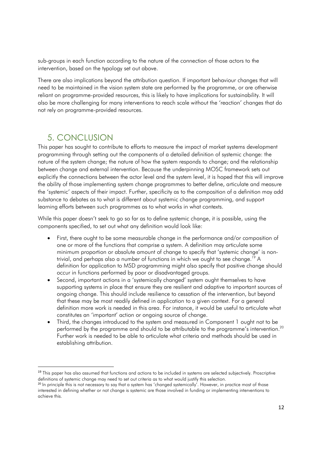sub-groups in each function according to the nature of the connection of those actors to the intervention, based on the typology set out above.

There are also implications beyond the attribution question. If important behaviour changes that will need to be maintained in the vision system state are performed by the programme, or are otherwise reliant on programme-provided resources, this is likely to have implications for sustainability. It will also be more challenging for many interventions to reach scale without the 'reaction' changes that do not rely on programme-provided resources.

## 5. CONCLUSION

<u>.</u>

This paper has sought to contribute to efforts to measure the impact of market systems development programming through setting out the components of a detailed definition of systemic change: the nature of the system change; the nature of how the system responds to change; and the relationship between change and external intervention. Because the underpinning MOSC framework sets out explicitly the connections between the actor level and the system level, it is hoped that this will improve the ability of those implementing system change programmes to better define, articulate and measure the 'systemic' aspects of their impact. Further, specificity as to the composition of a definition may add substance to debates as to what is different about systemic change programming, and support learning efforts between such programmes as to what works in what contexts.

While this paper doesn't seek to go so far as to define systemic change, it is possible, using the components specified, to set out what any definition would look like:

- First, there ought to be some measurable change in the performance and/or composition of one or more of the functions that comprise a system. A definition may articulate some minimum proportion or absolute amount of change to specify that 'systemic change' is nontrivial, and perhaps also a number of functions in which we ought to see change.<sup>19</sup> A definition for application to MSD programming might also specify that positive change should occur in functions performed by poor or disadvantaged groups.
- Second, important actions in a 'systemically changed' system ought themselves to have supporting systems in place that ensure they are resilient and adaptive to important sources of ongoing change. This should include resilience to cessation of the intervention, but beyond that these may be most readily defined in application to a given context. For a general definition more work is needed in this area. For instance, it would be useful to articulate what constitutes an 'important' action or ongoing source of change.
- Third, the changes introduced to the system and measured in Component 1 ought not to be performed by the programme and should to be attributable to the programme's intervention.<sup>20</sup> Further work is needed to be able to articulate what criteria and methods should be used in establishing attribution.

<sup>&</sup>lt;sup>19</sup> This paper has also assumed that functions and actions to be included in systems are selected subjectively. Proscriptive definitions of systemic change may need to set out criteria as to what would justify this selection.

<sup>&</sup>lt;sup>20</sup> In principle this is not necessary to say that a system has 'changed systemically'. However, in practice most of those interested in defining whether or not change is systemic are those involved in funding or implementing interventions to achieve this.